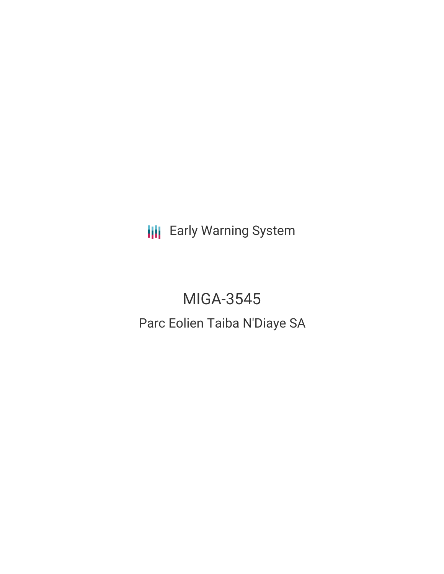**III** Early Warning System

# MIGA-3545

## Parc Eolien Taiba N'Diaye SA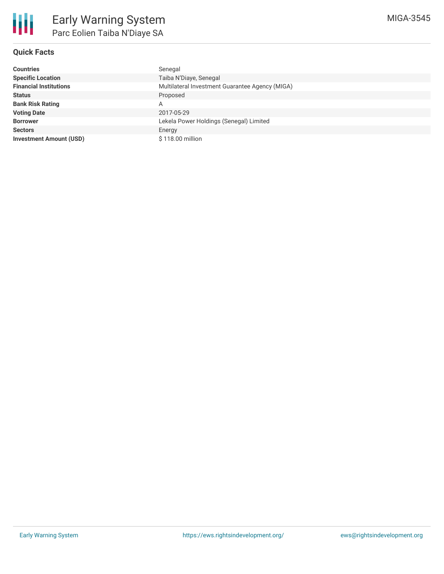

### **Quick Facts**

| <b>Countries</b>               | Senegal                                         |
|--------------------------------|-------------------------------------------------|
| <b>Specific Location</b>       | Taiba N'Diaye, Senegal                          |
| <b>Financial Institutions</b>  | Multilateral Investment Guarantee Agency (MIGA) |
| <b>Status</b>                  | Proposed                                        |
| <b>Bank Risk Rating</b>        | Α                                               |
| <b>Voting Date</b>             | 2017-05-29                                      |
| <b>Borrower</b>                | Lekela Power Holdings (Senegal) Limited         |
| <b>Sectors</b>                 | Energy                                          |
| <b>Investment Amount (USD)</b> | \$118.00 million                                |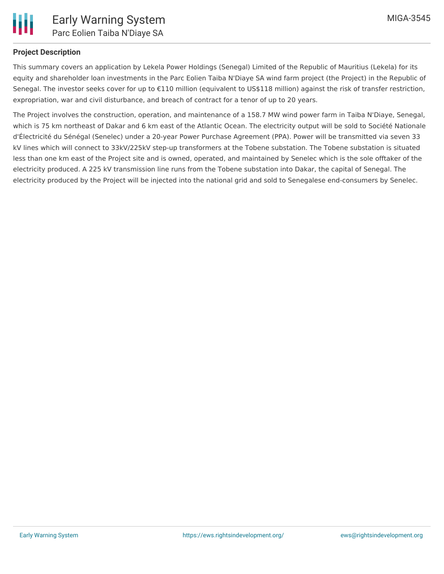#### **Project Description**

This summary covers an application by Lekela Power Holdings (Senegal) Limited of the Republic of Mauritius (Lekela) for its equity and shareholder loan investments in the Parc Eolien Taiba N'Diaye SA wind farm project (the Project) in the Republic of Senegal. The investor seeks cover for up to €110 million (equivalent to US\$118 million) against the risk of transfer restriction, expropriation, war and civil disturbance, and breach of contract for a tenor of up to 20 years.

The Project involves the construction, operation, and maintenance of a 158.7 MW wind power farm in Taiba N'Diaye, Senegal, which is 75 km northeast of Dakar and 6 km east of the Atlantic Ocean. The electricity output will be sold to Société Nationale d'Électricité du Sénégal (Senelec) under a 20-year Power Purchase Agreement (PPA). Power will be transmitted via seven 33 kV lines which will connect to 33kV/225kV step-up transformers at the Tobene substation. The Tobene substation is situated less than one km east of the Project site and is owned, operated, and maintained by Senelec which is the sole offtaker of the electricity produced. A 225 kV transmission line runs from the Tobene substation into Dakar, the capital of Senegal. The electricity produced by the Project will be injected into the national grid and sold to Senegalese end-consumers by Senelec.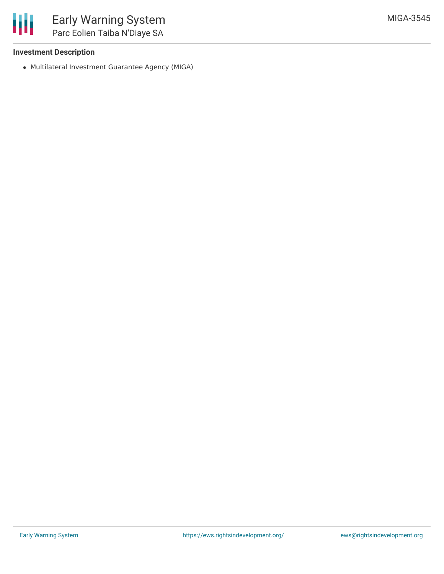

#### **Investment Description**

Multilateral Investment Guarantee Agency (MIGA)